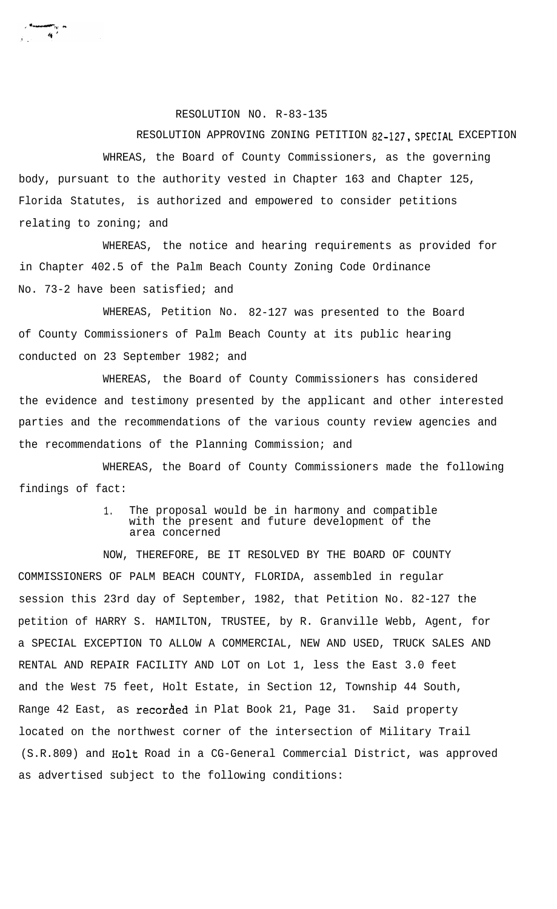## RESOLUTION NO. R-83-135

<del>aanser</del>gen<br>∴41

RESOLUTION APPROVING ZONING PETITION 82-127, SPECIAL EXCEPTION WHREAS, the Board of County Commissioners, as the governing body, pursuant to the authority vested in Chapter 163 and Chapter 125, Florida Statutes, is authorized and empowered to consider petitions relating to zoning; and

WHEREAS, the notice and hearing requirements as provided for in Chapter 402.5 of the Palm Beach County Zoning Code Ordinance No. 73-2 have been satisfied; and

WHEREAS, Petition No. 82-127 was presented to the Board of County Commissioners of Palm Beach County at its public hearing conducted on 23 September 1982; and

WHEREAS, the Board of County Commissioners has considered the evidence and testimony presented by the applicant and other interested parties and the recommendations of the various county review agencies and the recommendations of the Planning Commission; and

WHEREAS, the Board of County Commissioners made the following findings of fact:

## 1. The proposal would be in harmony and compatible with the present and future development of the area concerned

NOW, THEREFORE, BE IT RESOLVED BY THE BOARD OF COUNTY COMMISSIONERS OF PALM BEACH COUNTY, FLORIDA, assembled in regular session this 23rd day of September, 1982, that Petition No. 82-127 the petition of HARRY S. HAMILTON, TRUSTEE, by R. Granville Webb, Agent, for a SPECIAL EXCEPTION TO ALLOW A COMMERCIAL, NEW AND USED, TRUCK SALES AND RENTAL AND REPAIR FACILITY AND LOT on Lot 1, less the East 3.0 feet and the West 75 feet, Holt Estate, in Section 12, Township 44 South, Range 42 East, as recorded in Plat Book 21, Page 31. Said property located on the northwest corner of the intersection of Military Trail (S.R.809) and Halt Road in a CG-General Commercial District, was approved as advertised subject to the following conditions: